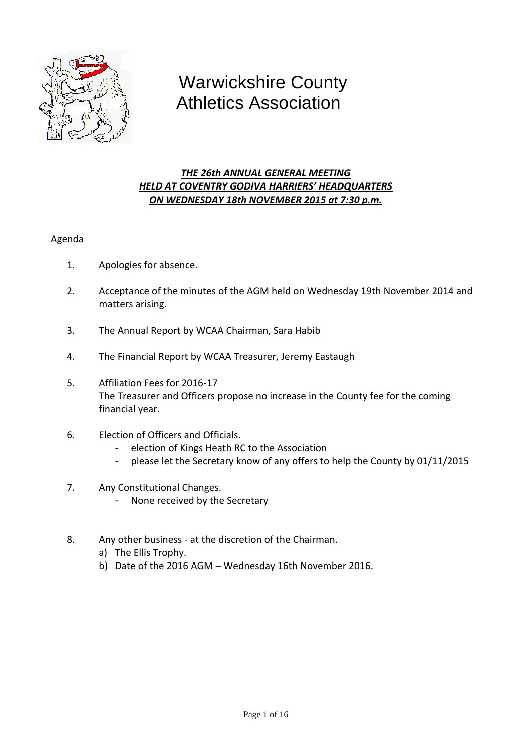

# Warwickshire County Athletics Association

## *THE 26th ANNUAL GENERAL MEETING HELD AT COVENTRY GODIVA HARRIERS' HEADQUARTERS ON WEDNESDAY 18th NOVEMBER 2015 at 7:30 p.m.*

## Agenda

- 1. Apologies for absence.
- 2. Acceptance of the minutes of the AGM held on Wednesday 19th November 2014 and matters arising.
- 3. The Annual Report by WCAA Chairman, Sara Habib
- 4. The Financial Report by WCAA Treasurer, Jeremy Eastaugh
- 5. Affiliation Fees for 2016-17 The Treasurer and Officers propose no increase in the County fee for the coming financial year.
- 6. Election of Officers and Officials.
	- election of Kings Heath RC to the Association
	- please let the Secretary know of any offers to help the County by 01/11/2015
- 7. Any Constitutional Changes.
	- None received by the Secretary
- 8. Any other business at the discretion of the Chairman.
	- a) The Ellis Trophy.
	- b) Date of the 2016 AGM Wednesday 16th November 2016.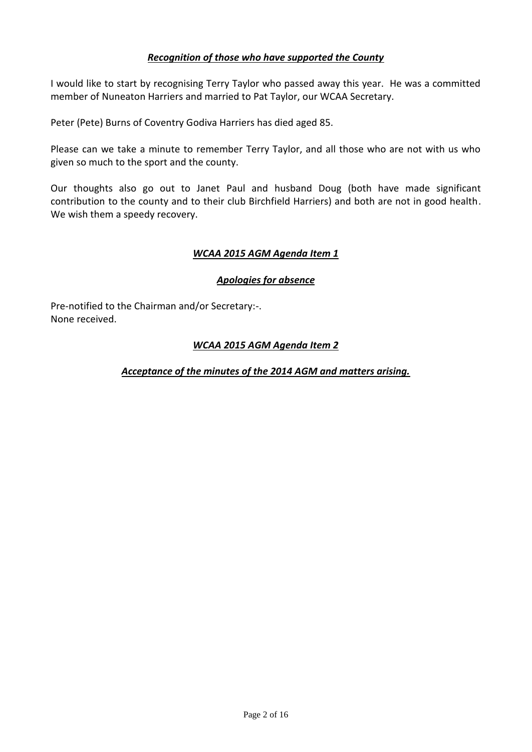## *Recognition of those who have supported the County*

I would like to start by recognising Terry Taylor who passed away this year. He was a committed member of Nuneaton Harriers and married to Pat Taylor, our WCAA Secretary.

Peter (Pete) Burns of Coventry Godiva Harriers has died aged 85.

Please can we take a minute to remember Terry Taylor, and all those who are not with us who given so much to the sport and the county.

Our thoughts also go out to Janet Paul and husband Doug (both have made significant contribution to the county and to their club Birchfield Harriers) and both are not in good health. We wish them a speedy recovery.

## *WCAA 2015 AGM Agenda Item 1*

## *Apologies for absence*

Pre-notified to the Chairman and/or Secretary:-. None received.

## *WCAA 2015 AGM Agenda Item 2*

## *Acceptance of the minutes of the 2014 AGM and matters arising.*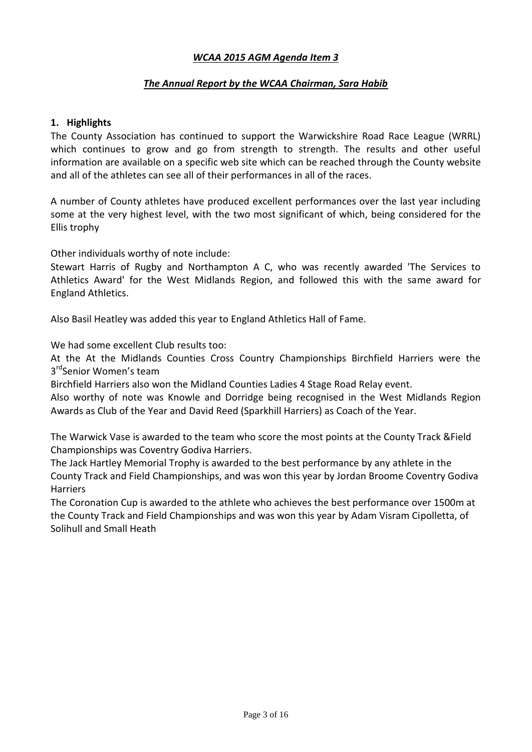#### *WCAA 2015 AGM Agenda Item 3*

## *The Annual Report by the WCAA Chairman, Sara Habib*

#### **1. Highlights**

The County Association has continued to support the Warwickshire Road Race League (WRRL) which continues to grow and go from strength to strength. The results and other useful information are available on a specific web site which can be reached through the County website and all of the athletes can see all of their performances in all of the races.

A number of County athletes have produced excellent performances over the last year including some at the very highest level, with the two most significant of which, being considered for the Ellis trophy

Other individuals worthy of note include:

Stewart Harris of Rugby and Northampton A C, who was recently awarded 'The Services to Athletics Award' for the West Midlands Region, and followed this with the same award for England Athletics.

Also Basil Heatley was added this year to England Athletics Hall of Fame.

We had some excellent Club results too:

At the At the Midlands Counties Cross Country Championships Birchfield Harriers were the 3<sup>rd</sup>Senior Women's team

Birchfield Harriers also won the Midland Counties Ladies 4 Stage Road Relay event.

Also worthy of note was Knowle and Dorridge being recognised in the West Midlands Region Awards as Club of the Year and David Reed (Sparkhill Harriers) as Coach of the Year.

The Warwick Vase is awarded to the team who score the most points at the County Track &Field Championships was Coventry Godiva Harriers.

The Jack Hartley Memorial Trophy is awarded to the best performance by any athlete in the County Track and Field Championships, and was won this year by Jordan Broome Coventry Godiva **Harriers** 

The Coronation Cup is awarded to the athlete who achieves the best performance over 1500m at the County Track and Field Championships and was won this year by Adam Visram Cipolletta, of Solihull and Small Heath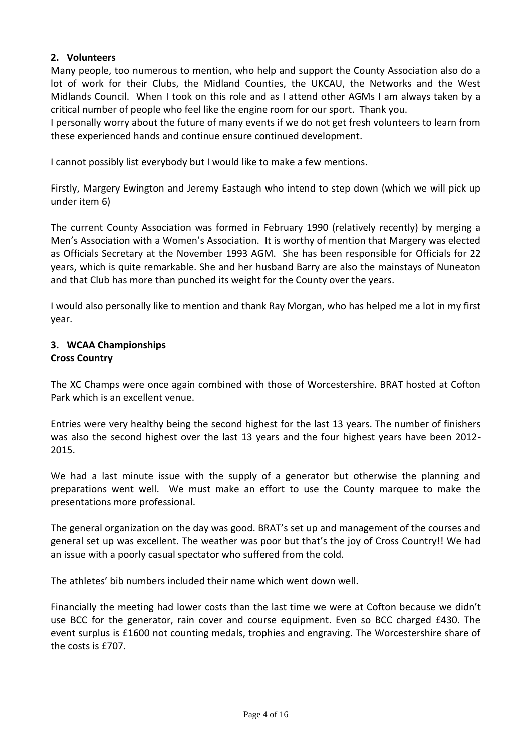## **2. Volunteers**

Many people, too numerous to mention, who help and support the County Association also do a lot of work for their Clubs, the Midland Counties, the UKCAU, the Networks and the West Midlands Council. When I took on this role and as I attend other AGMs I am always taken by a critical number of people who feel like the engine room for our sport. Thank you.

I personally worry about the future of many events if we do not get fresh volunteers to learn from these experienced hands and continue ensure continued development.

I cannot possibly list everybody but I would like to make a few mentions.

Firstly, Margery Ewington and Jeremy Eastaugh who intend to step down (which we will pick up under item 6)

The current County Association was formed in February 1990 (relatively recently) by merging a Men's Association with a Women's Association. It is worthy of mention that Margery was elected as Officials Secretary at the November 1993 AGM. She has been responsible for Officials for 22 years, which is quite remarkable. She and her husband Barry are also the mainstays of Nuneaton and that Club has more than punched its weight for the County over the years.

I would also personally like to mention and thank Ray Morgan, who has helped me a lot in my first year.

#### **3. WCAA Championships Cross Country**

The XC Champs were once again combined with those of Worcestershire. BRAT hosted at Cofton Park which is an excellent venue.

Entries were very healthy being the second highest for the last 13 years. The number of finishers was also the second highest over the last 13 years and the four highest years have been 2012- 2015.

We had a last minute issue with the supply of a generator but otherwise the planning and preparations went well. We must make an effort to use the County marquee to make the presentations more professional.

The general organization on the day was good. BRAT's set up and management of the courses and general set up was excellent. The weather was poor but that's the joy of Cross Country!! We had an issue with a poorly casual spectator who suffered from the cold.

The athletes' bib numbers included their name which went down well.

Financially the meeting had lower costs than the last time we were at Cofton because we didn't use BCC for the generator, rain cover and course equipment. Even so BCC charged £430. The event surplus is £1600 not counting medals, trophies and engraving. The Worcestershire share of the costs is £707.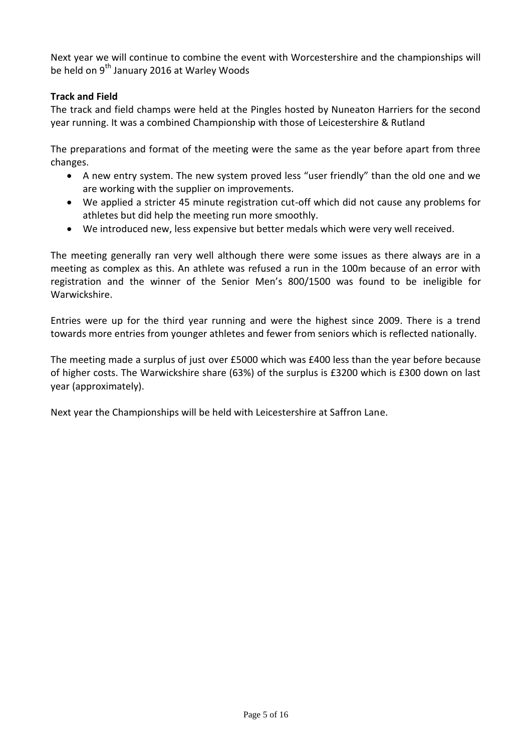Next year we will continue to combine the event with Worcestershire and the championships will be held on 9<sup>th</sup> January 2016 at Warley Woods

## **Track and Field**

The track and field champs were held at the Pingles hosted by Nuneaton Harriers for the second year running. It was a combined Championship with those of Leicestershire & Rutland

The preparations and format of the meeting were the same as the year before apart from three changes.

- A new entry system. The new system proved less "user friendly" than the old one and we are working with the supplier on improvements.
- We applied a stricter 45 minute registration cut-off which did not cause any problems for athletes but did help the meeting run more smoothly.
- We introduced new, less expensive but better medals which were very well received.

The meeting generally ran very well although there were some issues as there always are in a meeting as complex as this. An athlete was refused a run in the 100m because of an error with registration and the winner of the Senior Men's 800/1500 was found to be ineligible for Warwickshire.

Entries were up for the third year running and were the highest since 2009. There is a trend towards more entries from younger athletes and fewer from seniors which is reflected nationally.

The meeting made a surplus of just over £5000 which was £400 less than the year before because of higher costs. The Warwickshire share (63%) of the surplus is £3200 which is £300 down on last year (approximately).

Next year the Championships will be held with Leicestershire at Saffron Lane.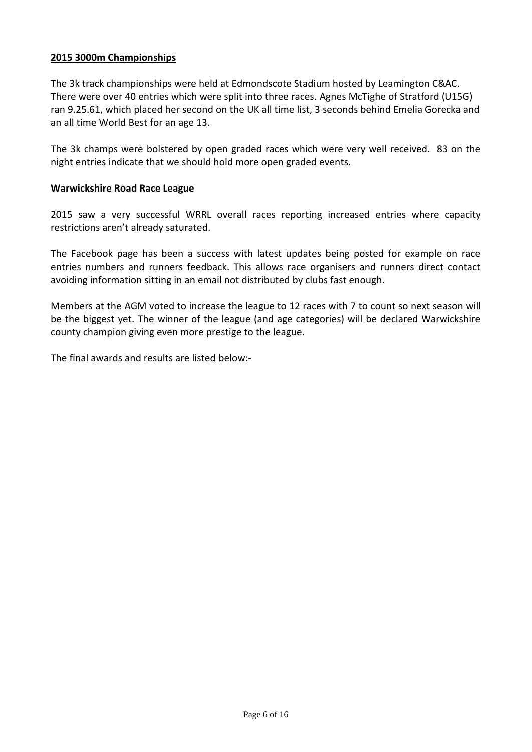#### **2015 3000m Championships**

The 3k track championships were held at Edmondscote Stadium hosted by Leamington C&AC. There were over 40 entries which were split into three races. Agnes McTighe of Stratford (U15G) ran 9.25.61, which placed her second on the UK all time list, 3 seconds behind Emelia Gorecka and an all time World Best for an age 13.

The 3k champs were bolstered by open graded races which were very well received. 83 on the night entries indicate that we should hold more open graded events.

#### **Warwickshire Road Race League**

2015 saw a very successful WRRL overall races reporting increased entries where capacity restrictions aren't already saturated.

The Facebook page has been a success with latest updates being posted for example on race entries numbers and runners feedback. This allows race organisers and runners direct contact avoiding information sitting in an email not distributed by clubs fast enough.

Members at the AGM voted to increase the league to 12 races with 7 to count so next season will be the biggest yet. The winner of the league (and age categories) will be declared Warwickshire county champion giving even more prestige to the league.

The final awards and results are listed below:-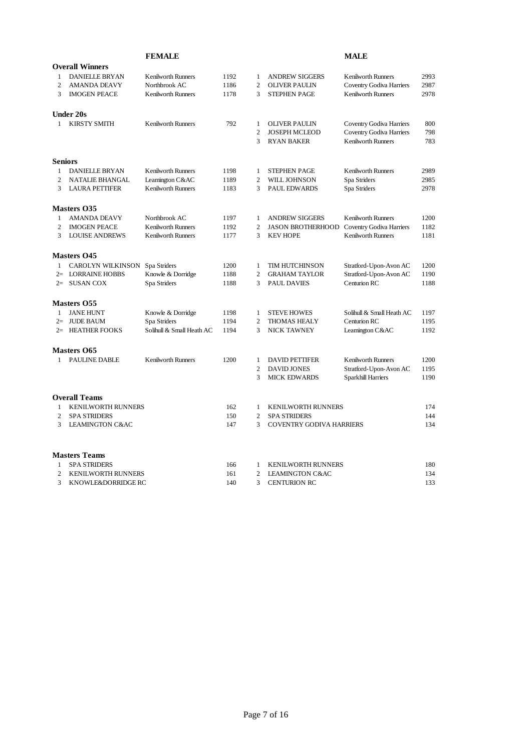|                |                            | <b>FEMALE</b>             |      |                |                                 | <b>MALE</b>                     |      |
|----------------|----------------------------|---------------------------|------|----------------|---------------------------------|---------------------------------|------|
|                | <b>Overall Winners</b>     |                           |      |                |                                 |                                 |      |
| 1              | <b>DANIELLE BRYAN</b>      | <b>Kenilworth Runners</b> | 1192 | 1              | <b>ANDREW SIGGERS</b>           | <b>Kenilworth Runners</b>       | 2993 |
| 2              | <b>AMANDA DEAVY</b>        | Northbrook AC             | 1186 | $\mathfrak{2}$ | <b>OLIVER PAULIN</b>            | <b>Coventry Godiva Harriers</b> | 2987 |
| 3              | <b>IMOGEN PEACE</b>        | <b>Kenilworth Runners</b> | 1178 | 3              | <b>STEPHEN PAGE</b>             | Kenilworth Runners              | 2978 |
|                | <b>Under 20s</b>           |                           |      |                |                                 |                                 |      |
| 1              | <b>KIRSTY SMITH</b>        | <b>Kenilworth Runners</b> | 792  | $\mathbf{1}$   | <b>OLIVER PAULIN</b>            | Coventry Godiva Harriers        | 800  |
|                |                            |                           |      | $\overline{c}$ | <b>JOSEPH MCLEOD</b>            | <b>Coventry Godiva Harriers</b> | 798  |
|                |                            |                           |      | 3              | <b>RYAN BAKER</b>               | <b>Kenilworth Runners</b>       | 783  |
| <b>Seniors</b> |                            |                           |      |                |                                 |                                 |      |
| 1              | <b>DANIELLE BRYAN</b>      | <b>Kenilworth Runners</b> | 1198 | 1              | <b>STEPHEN PAGE</b>             | <b>Kenilworth Runners</b>       | 2989 |
| $\overline{c}$ | <b>NATALIE BHANGAL</b>     | Leamington C&AC           | 1189 | $\overline{c}$ | WILL JOHNSON                    | Spa Striders                    | 2985 |
| 3              | <b>LAURA PETTIFER</b>      | <b>Kenilworth Runners</b> | 1183 | 3              | <b>PAUL EDWARDS</b>             | Spa Striders                    | 2978 |
|                | <b>Masters 035</b>         |                           |      |                |                                 |                                 |      |
| $\mathbf{1}$   | <b>AMANDA DEAVY</b>        | Northbrook AC             | 1197 | $\mathbf{1}$   | <b>ANDREW SIGGERS</b>           | <b>Kenilworth Runners</b>       | 1200 |
| $\overline{c}$ | <b>IMOGEN PEACE</b>        | <b>Kenilworth Runners</b> | 1192 | $\overline{c}$ | <b>JASON BROTHERHOOD</b>        | Coventry Godiva Harriers        | 1182 |
| 3              | <b>LOUISE ANDREWS</b>      | <b>Kenilworth Runners</b> | 1177 | 3              | <b>KEV HOPE</b>                 | <b>Kenilworth Runners</b>       | 1181 |
|                | <b>Masters 045</b>         |                           |      |                |                                 |                                 |      |
| $\mathbf{1}$   | <b>CAROLYN WILKINSON</b>   | Spa Striders              | 1200 | $\mathbf{1}$   | TIM HUTCHINSON                  | Stratford-Upon-Avon AC          | 1200 |
| $2=$           | <b>LORRAINE HOBBS</b>      | Knowle & Dorridge         | 1188 | $\overline{c}$ | <b>GRAHAM TAYLOR</b>            | Stratford-Upon-Avon AC          | 1190 |
|                | $2 =$ SUSAN COX            | Spa Striders              | 1188 | 3              | <b>PAUL DAVIES</b>              | Centurion RC                    | 1188 |
|                | Masters 055                |                           |      |                |                                 |                                 |      |
| 1              | <b>JANE HUNT</b>           | Knowle & Dorridge         | 1198 | 1              | <b>STEVE HOWES</b>              | Solihull & Small Heath AC       | 1197 |
|                | 2= JUDE BAUM               | Spa Striders              | 1194 | $\overline{c}$ | <b>THOMAS HEALY</b>             | Centurion RC                    | 1195 |
|                | 2= HEATHER FOOKS           | Solihull & Small Heath AC | 1194 | 3              | <b>NICK TAWNEY</b>              | Leamington C&AC                 | 1192 |
|                | <b>Masters O65</b>         |                           |      |                |                                 |                                 |      |
| 1              | PAULINE DABLE              | <b>Kenilworth Runners</b> | 1200 | 1              | <b>DAVID PETTIFER</b>           | <b>Kenilworth Runners</b>       | 1200 |
|                |                            |                           |      | $\overline{c}$ | <b>DAVID JONES</b>              | Stratford-Upon-Avon AC          | 1195 |
|                |                            |                           |      | 3              | <b>MICK EDWARDS</b>             | Sparkhill Harriers              | 1190 |
|                | <b>Overall Teams</b>       |                           |      |                |                                 |                                 |      |
| 1              | <b>KENILWORTH RUNNERS</b>  |                           | 162  | $\mathbf{1}$   | <b>KENILWORTH RUNNERS</b>       |                                 | 174  |
| $\overline{c}$ | <b>SPA STRIDERS</b>        |                           | 150  | $\overline{c}$ | <b>SPA STRIDERS</b>             |                                 | 144  |
| 3              | <b>LEAMINGTON C&amp;AC</b> |                           | 147  | 3              | <b>COVENTRY GODIVA HARRIERS</b> |                                 | 134  |
|                | <b>Masters Teams</b>       |                           |      |                |                                 |                                 |      |
| 1              | <b>SPA STRIDERS</b>        |                           | 166  | 1              | <b>KENILWORTH RUNNERS</b>       |                                 | 180  |
| $\overline{c}$ | <b>KENILWORTH RUNNERS</b>  |                           | 161  | $\overline{2}$ | <b>LEAMINGTON C&amp;AC</b>      |                                 | 134  |
| 3              | KNOWLE&DORRIDGE RC         |                           | 140  | 3              | <b>CENTURION RC</b>             |                                 | 133  |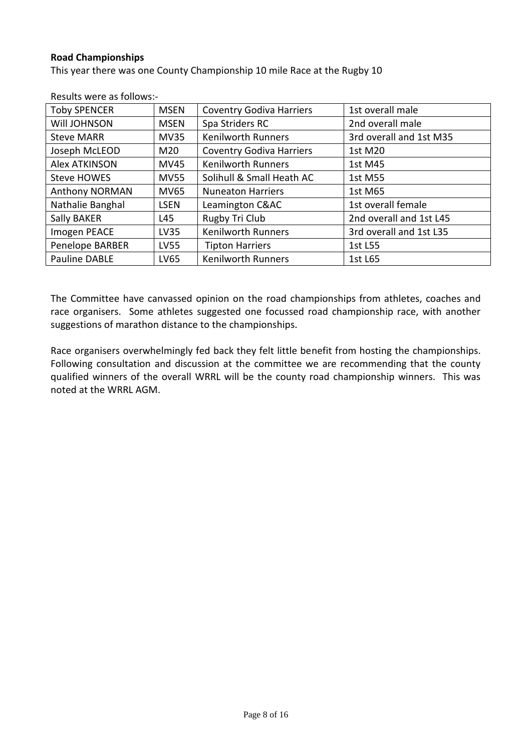#### **Road Championships**

This year there was one County Championship 10 mile Race at the Rugby 10

| <b>Toby SPENCER</b>  | <b>MSEN</b> | <b>Coventry Godiva Harriers</b> | 1st overall male        |
|----------------------|-------------|---------------------------------|-------------------------|
| Will JOHNSON         | <b>MSEN</b> | Spa Striders RC                 | 2nd overall male        |
| <b>Steve MARR</b>    | <b>MV35</b> | Kenilworth Runners              | 3rd overall and 1st M35 |
| Joseph McLEOD        | M20         | <b>Coventry Godiva Harriers</b> | 1st M20                 |
| <b>Alex ATKINSON</b> | <b>MV45</b> | <b>Kenilworth Runners</b>       | 1st M45                 |
| Steve HOWES          | <b>MV55</b> | Solihull & Small Heath AC       | 1st M55                 |
| Anthony NORMAN       | <b>MV65</b> | <b>Nuneaton Harriers</b>        | 1st M65                 |
| Nathalie Banghal     | <b>LSEN</b> | Leamington C&AC                 | 1st overall female      |
| Sally BAKER          | L45         | Rugby Tri Club                  | 2nd overall and 1st L45 |
| Imogen PEACE         | <b>LV35</b> | <b>Kenilworth Runners</b>       | 3rd overall and 1st L35 |
| Penelope BARBER      | <b>LV55</b> | <b>Tipton Harriers</b>          | 1st L55                 |
| Pauline DABLE        | LV65        | <b>Kenilworth Runners</b>       | 1st L65                 |

Results were as follows:-

The Committee have canvassed opinion on the road championships from athletes, coaches and race organisers. Some athletes suggested one focussed road championship race, with another suggestions of marathon distance to the championships.

Race organisers overwhelmingly fed back they felt little benefit from hosting the championships. Following consultation and discussion at the committee we are recommending that the county qualified winners of the overall WRRL will be the county road championship winners. This was noted at the WRRL AGM.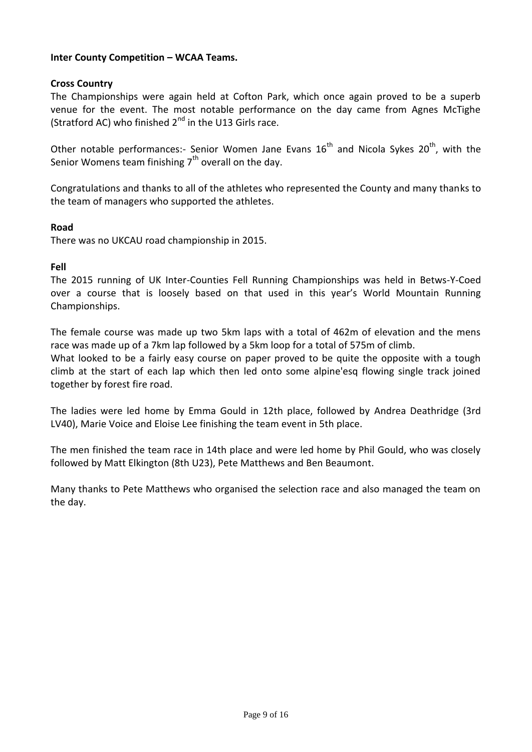## **Inter County Competition – WCAA Teams.**

## **Cross Country**

The Championships were again held at Cofton Park, which once again proved to be a superb venue for the event. The most notable performance on the day came from Agnes McTighe (Stratford AC) who finished  $2<sup>nd</sup>$  in the U13 Girls race.

Other notable performances:- Senior Women Jane Evans  $16<sup>th</sup>$  and Nicola Sykes 20<sup>th</sup>, with the Senior Womens team finishing  $7<sup>th</sup>$  overall on the day.

Congratulations and thanks to all of the athletes who represented the County and many thanks to the team of managers who supported the athletes.

#### **Road**

There was no UKCAU road championship in 2015.

#### **Fell**

The 2015 running of UK Inter-Counties Fell Running Championships was held in Betws-Y-Coed over a course that is loosely based on that used in this year's World Mountain Running Championships.

The female course was made up two 5km laps with a total of 462m of elevation and the mens race was made up of a 7km lap followed by a 5km loop for a total of 575m of climb.

What looked to be a fairly easy course on paper proved to be quite the opposite with a tough climb at the start of each lap which then led onto some alpine'esq flowing single track joined together by forest fire road.

The ladies were led home by Emma Gould in 12th place, followed by Andrea Deathridge (3rd LV40), Marie Voice and Eloise Lee finishing the team event in 5th place.

The men finished the team race in 14th place and were led home by Phil Gould, who was closely followed by Matt Elkington (8th U23), Pete Matthews and Ben Beaumont.

Many thanks to Pete Matthews who organised the selection race and also managed the team on the day.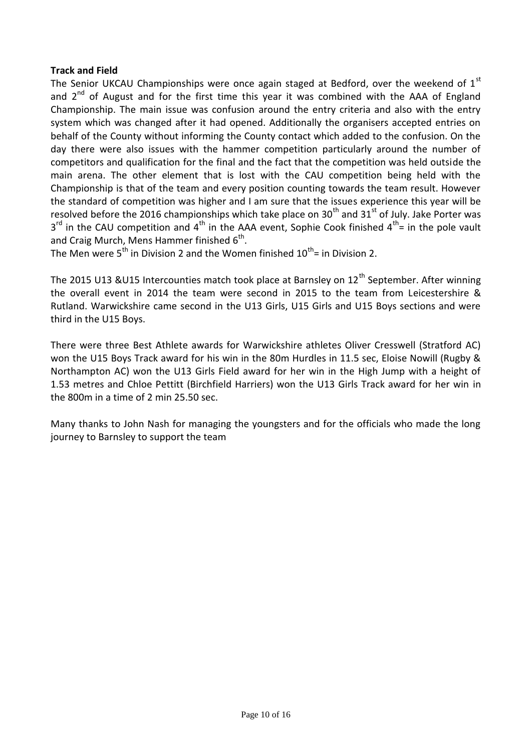## **Track and Field**

The Senior UKCAU Championships were once again staged at Bedford, over the weekend of  $1<sup>st</sup>$ and  $2^{nd}$  of August and for the first time this year it was combined with the AAA of England Championship. The main issue was confusion around the entry criteria and also with the entry system which was changed after it had opened. Additionally the organisers accepted entries on behalf of the County without informing the County contact which added to the confusion. On the day there were also issues with the hammer competition particularly around the number of competitors and qualification for the final and the fact that the competition was held outside the main arena. The other element that is lost with the CAU competition being held with the Championship is that of the team and every position counting towards the team result. However the standard of competition was higher and I am sure that the issues experience this year will be resolved before the 2016 championships which take place on 30<sup>th</sup> and 31<sup>st</sup> of July. Jake Porter was  $3^{rd}$  in the CAU competition and 4<sup>th</sup> in the AAA event, Sophie Cook finished 4<sup>th</sup>= in the pole vault and Craig Murch, Mens Hammer finished  $6^{\text{th}}$ .

The Men were  $5<sup>th</sup>$  in Division 2 and the Women finished  $10<sup>th</sup>$  = in Division 2.

The 2015 U13 &U15 Intercounties match took place at Barnsley on  $12<sup>th</sup>$  September. After winning the overall event in 2014 the team were second in 2015 to the team from Leicestershire & Rutland. Warwickshire came second in the U13 Girls, U15 Girls and U15 Boys sections and were third in the U15 Boys.

There were three Best Athlete awards for Warwickshire athletes Oliver Cresswell (Stratford AC) won the U15 Boys Track award for his win in the 80m Hurdles in 11.5 sec, Eloise Nowill (Rugby & Northampton AC) won the U13 Girls Field award for her win in the High Jump with a height of 1.53 metres and Chloe Pettitt (Birchfield Harriers) won the U13 Girls Track award for her win in the 800m in a time of 2 min 25.50 sec.

Many thanks to John Nash for managing the youngsters and for the officials who made the long journey to Barnsley to support the team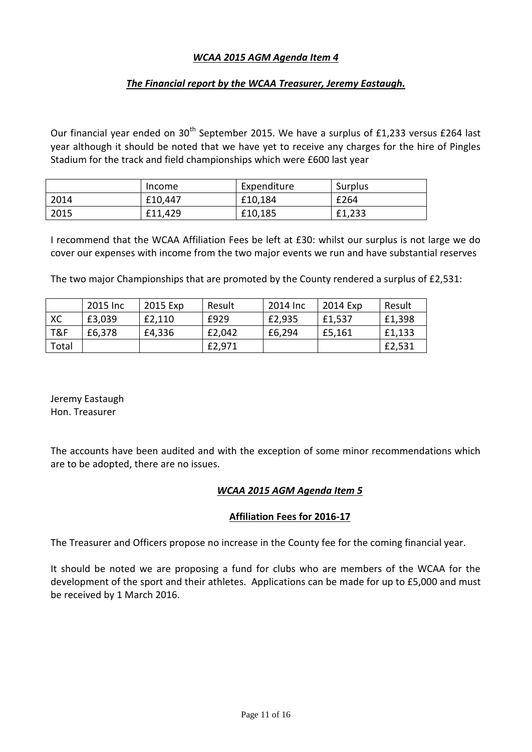## *WCAA 2015 AGM Agenda Item 4*

## *The Financial report by the WCAA Treasurer, Jeremy Eastaugh.*

Our financial year ended on  $30<sup>th</sup>$  September 2015. We have a surplus of £1,233 versus £264 last year although it should be noted that we have yet to receive any charges for the hire of Pingles Stadium for the track and field championships which were £600 last year

|      | Income  | Expenditure | Surplus |
|------|---------|-------------|---------|
| 2014 | £10,447 | £10,184     | £264    |
| 2015 | £11,429 | £10,185     | £1,233  |

I recommend that the WCAA Affiliation Fees be left at £30: whilst our surplus is not large we do cover our expenses with income from the two major events we run and have substantial reserves

The two major Championships that are promoted by the County rendered a surplus of £2,531:

|       | 2015 Inc | 2015 Exp | Result | 2014 Inc | 2014 Exp | Result |
|-------|----------|----------|--------|----------|----------|--------|
| XC    | £3,039   | £2,110   | £929   | £2,935   | £1,537   | £1,398 |
| T&F   | £6,378   | £4,336   | £2,042 | £6,294   | £5,161   | £1,133 |
| Total |          |          | £2,971 |          |          | £2,531 |

Jeremy Eastaugh Hon. Treasurer

The accounts have been audited and with the exception of some minor recommendations which are to be adopted, there are no issues.

#### *WCAA 2015 AGM Agenda Item 5*

#### **Affiliation Fees for 2016-17**

The Treasurer and Officers propose no increase in the County fee for the coming financial year.

It should be noted we are proposing a fund for clubs who are members of the WCAA for the development of the sport and their athletes. Applications can be made for up to £5,000 and must be received by 1 March 2016.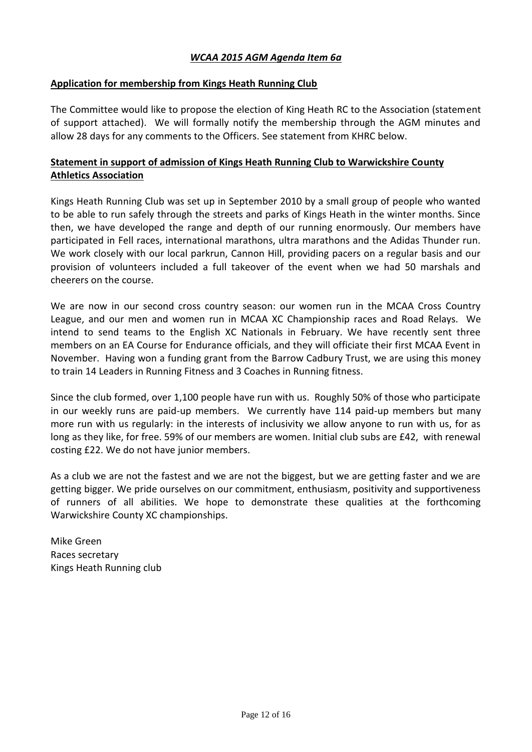## *WCAA 2015 AGM Agenda Item 6a*

#### **Application for membership from Kings Heath Running Club**

The Committee would like to propose the election of King Heath RC to the Association (statement of support attached). We will formally notify the membership through the AGM minutes and allow 28 days for any comments to the Officers. See statement from KHRC below.

## **Statement in support of admission of Kings Heath Running Club to Warwickshire County Athletics Association**

Kings Heath Running Club was set up in September 2010 by a small group of people who wanted to be able to run safely through the streets and parks of Kings Heath in the winter months. Since then, we have developed the range and depth of our running enormously. Our members have participated in Fell races, international marathons, ultra marathons and the Adidas Thunder run. We work closely with our local parkrun, Cannon Hill, providing pacers on a regular basis and our provision of volunteers included a full takeover of the event when we had 50 marshals and cheerers on the course.

We are now in our second cross country season: our women run in the MCAA Cross Country League, and our men and women run in MCAA XC Championship races and Road Relays. We intend to send teams to the English XC Nationals in February. We have recently sent three members on an EA Course for Endurance officials, and they will officiate their first MCAA Event in November. Having won a funding grant from the Barrow Cadbury Trust, we are using this money to train 14 Leaders in Running Fitness and 3 Coaches in Running fitness.

Since the club formed, over 1,100 people have run with us. Roughly 50% of those who participate in our weekly runs are paid-up members. We currently have 114 paid-up members but many more run with us regularly: in the interests of inclusivity we allow anyone to run with us, for as long as they like, for free. 59% of our members are women. Initial club subs are £42, with renewal costing £22. We do not have junior members.

As a club we are not the fastest and we are not the biggest, but we are getting faster and we are getting bigger. We pride ourselves on our commitment, enthusiasm, positivity and supportiveness of runners of all abilities. We hope to demonstrate these qualities at the forthcoming Warwickshire County XC championships.

Mike Green Races secretary Kings Heath Running club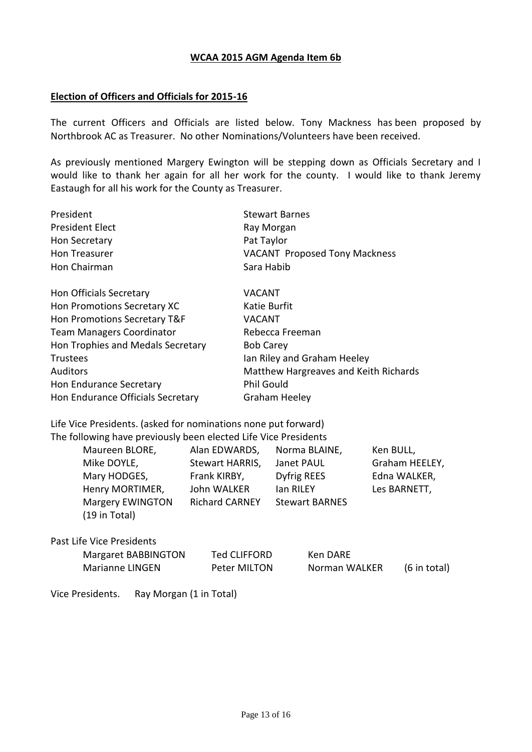#### **WCAA 2015 AGM Agenda Item 6b**

#### **Election of Officers and Officials for 2015-16**

The current Officers and Officials are listed below. Tony Mackness has been proposed by Northbrook AC as Treasurer. No other Nominations/Volunteers have been received.

As previously mentioned Margery Ewington will be stepping down as Officials Secretary and I would like to thank her again for all her work for the county. I would like to thank Jeremy Eastaugh for all his work for the County as Treasurer.

| President              | <b>Stewart Barnes</b>                |
|------------------------|--------------------------------------|
| <b>President Elect</b> | Ray Morgan                           |
| Hon Secretary          | Pat Taylor                           |
| Hon Treasurer          | <b>VACANT Proposed Tony Mackness</b> |
| Hon Chairman           | Sara Habib                           |

| Hon Officials Secretary           | <b>VACANT</b>                         |
|-----------------------------------|---------------------------------------|
| Hon Promotions Secretary XC       | Katie Burfit                          |
| Hon Promotions Secretary T&F      | <b>VACANT</b>                         |
| <b>Team Managers Coordinator</b>  | Rebecca Freeman                       |
| Hon Trophies and Medals Secretary | <b>Bob Carey</b>                      |
| <b>Trustees</b>                   | Ian Riley and Graham Heeley           |
| <b>Auditors</b>                   | Matthew Hargreaves and Keith Richards |
| Hon Endurance Secretary           | <b>Phil Gould</b>                     |
| Hon Endurance Officials Secretary | <b>Graham Heeley</b>                  |
|                                   |                                       |

Life Vice Presidents. (asked for nominations none put forward) The following have previously been elected Life Vice Presidents

| Maureen BLORE,          | Alan EDWARDS,         | Norma BLAINE,         | Ken BULL,      |
|-------------------------|-----------------------|-----------------------|----------------|
| Mike DOYLE,             | Stewart HARRIS,       | Janet PAUL            | Graham HEELEY, |
| Mary HODGES,            | Frank KIRBY,          | Dyfrig REES           | Edna WALKER,   |
| Henry MORTIMER,         | John WALKER           | lan RILEY             | Les BARNETT,   |
| <b>Margery EWINGTON</b> | <b>Richard CARNEY</b> | <b>Stewart BARNES</b> |                |
| (19 in Total)           |                       |                       |                |
|                         |                       |                       |                |

Past Life Vice Presidents

| <b>Margaret BABBINGTON</b> | Ted CLIFFORD | Ken DARE      |              |
|----------------------------|--------------|---------------|--------------|
| Marianne LINGEN            | Peter MILTON | Norman WALKER | (6 in total) |

Vice Presidents. Ray Morgan (1 in Total)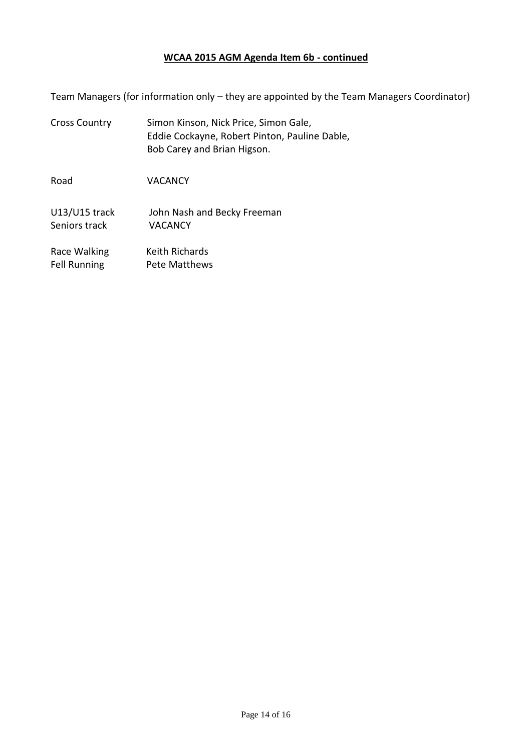#### **WCAA 2015 AGM Agenda Item 6b - continued**

Team Managers (for information only – they are appointed by the Team Managers Coordinator)

Cross Country Simon Kinson, Nick Price, Simon Gale, Eddie Cockayne, Robert Pinton, Pauline Dable, Bob Carey and Brian Higson.

Road VACANCY

U13/U15 track John Nash and Becky Freeman Seniors track VACANCY

Race Walking Keith Richards Fell Running Pete Matthews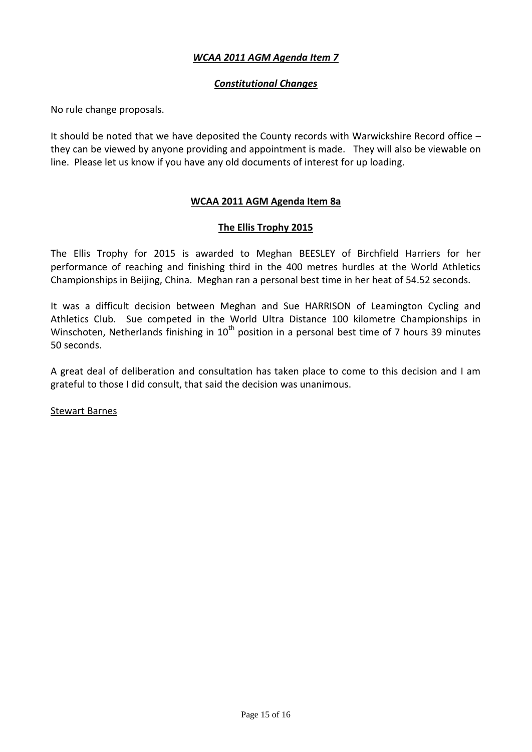## *WCAA 2011 AGM Agenda Item 7*

## *Constitutional Changes*

No rule change proposals.

It should be noted that we have deposited the County records with Warwickshire Record office – they can be viewed by anyone providing and appointment is made. They will also be viewable on line. Please let us know if you have any old documents of interest for up loading.

## **WCAA 2011 AGM Agenda Item 8a**

## **The Ellis Trophy 2015**

The Ellis Trophy for 2015 is awarded to Meghan BEESLEY of Birchfield Harriers for her performance of reaching and finishing third in the 400 metres hurdles at the World Athletics Championships in Beijing, China. Meghan ran a personal best time in her heat of 54.52 seconds.

It was a difficult decision between Meghan and Sue HARRISON of Leamington Cycling and Athletics Club. Sue competed in the World Ultra Distance 100 kilometre Championships in Winschoten, Netherlands finishing in 10<sup>th</sup> position in a personal best time of 7 hours 39 minutes 50 seconds.

A great deal of deliberation and consultation has taken place to come to this decision and I am grateful to those I did consult, that said the decision was unanimous.

Stewart Barnes